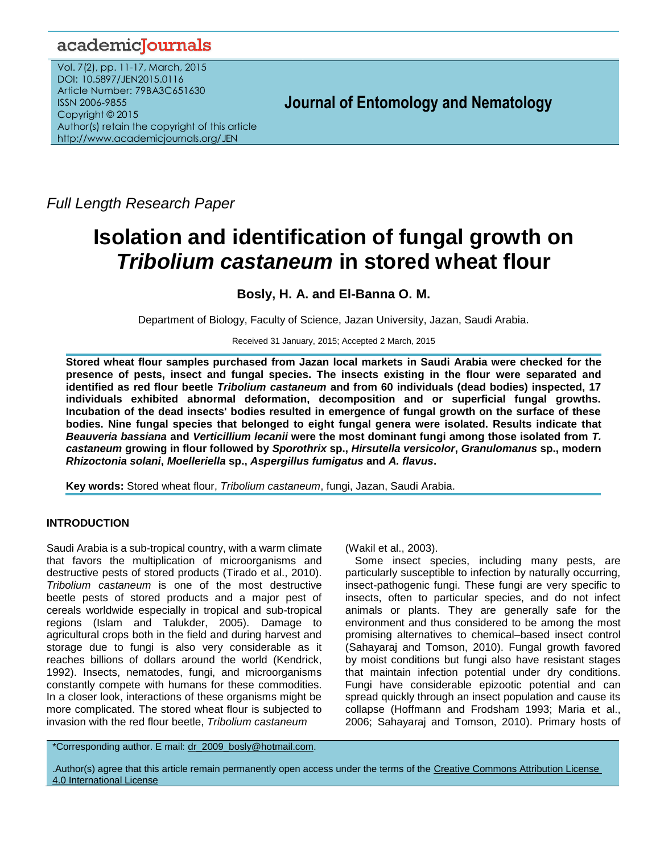# academicJournals

Vol. 7(2), pp. 11-17, March, 2015 DOI: 10.5897/JEN2015.0116 Article Number: 79BA3C651630 ISSN 2006-9855 Copyright © 2015 Author(s) retain the copyright of this article http://www.academicjournals.org/JEN

**Journal of Entomology and Nematology**

*Full Length Research Paper*

# **Isolation and identification of fungal growth on**  *Tribolium castaneum* **in stored wheat flour**

**Bosly, H. A. and El-Banna O. M.**

Department of Biology, Faculty of Science, Jazan University, Jazan, Saudi Arabia.

Received 31 January, 2015; Accepted 2 March, 2015

**Stored wheat flour samples purchased from Jazan local markets in Saudi Arabia were checked for the presence of pests, insect and fungal species. The insects existing in the flour were separated and identified as red flour beetle** *Tribolium castaneum* **and from 60 individuals (dead bodies) inspected, 17 individuals exhibited abnormal deformation, decomposition and or superficial fungal growths. Incubation of the dead insects' bodies resulted in emergence of fungal growth on the surface of these bodies. Nine fungal species that belonged to eight fungal genera were isolated. Results indicate that**  *Beauveria bassiana* **and** *Verticillium lecanii* **were the most dominant fungi among those isolated from** *T. castaneum* **growing in flour followed by** *Sporothrix* **sp.,** *Hirsutella versicolor***,** *Granulomanus* **sp., modern**  *Rhizoctonia solani***,** *Moelleriella* **sp.,** *Aspergillus fumigatus* **and** *A. flavus***.**

**Key words:** Stored wheat flour, *Tribolium castaneum*, fungi, Jazan, Saudi Arabia.

# **INTRODUCTION**

Saudi Arabia is a sub-tropical country, with a warm climate that favors the multiplication of microorganisms and destructive pests of stored products (Tirado et al., 2010). *Tribolium castaneum* is one of the most destructive beetle pests of stored products and a major pest of cereals worldwide especially in tropical and sub-tropical regions (Islam and Talukder, 2005). Damage to agricultural crops both in the field and during harvest and storage due to fungi is also very considerable as it reaches billions of dollars around the world (Kendrick, 1992). Insects, nematodes, fungi, and microorganisms constantly compete with humans for these commodities. In a closer look, interactions of these organisms might be more complicated. The stored wheat flour is subjected to invasion with the red flour beetle, *Tribolium castaneum*

(Wakil et al., 2003).

Some insect species, including many pests, are particularly susceptible to infection by naturally occurring, insect-pathogenic fungi. These fungi are very specific to insects, often to particular species, and do not infect animals or plants. They are generally safe for the environment and thus considered to be among the most promising alternatives to chemical–based insect control (Sahayaraj and Tomson, 2010). Fungal growth favored by moist conditions but fungi also have resistant stages that maintain infection potential under dry conditions. Fungi have considerable epizootic potential and can spread quickly through an insect population and cause its collapse (Hoffmann and Frodsham 1993; Maria et al., 2006; Sahayaraj and Tomson, 2010). Primary hosts of

\*Corresponding author. E mail: [dr\\_2009\\_bosly@hotmail.com.](mailto:dr_2009_bosly@hotmail.com)

.Author(s) agree that this article remain permanently open access under the terms of the [Creative Commons Attribution License](http://creativecommons.org/licenses/by/4.0/deed.en_US)  [4.0 International License](http://creativecommons.org/licenses/by/4.0/deed.en_US)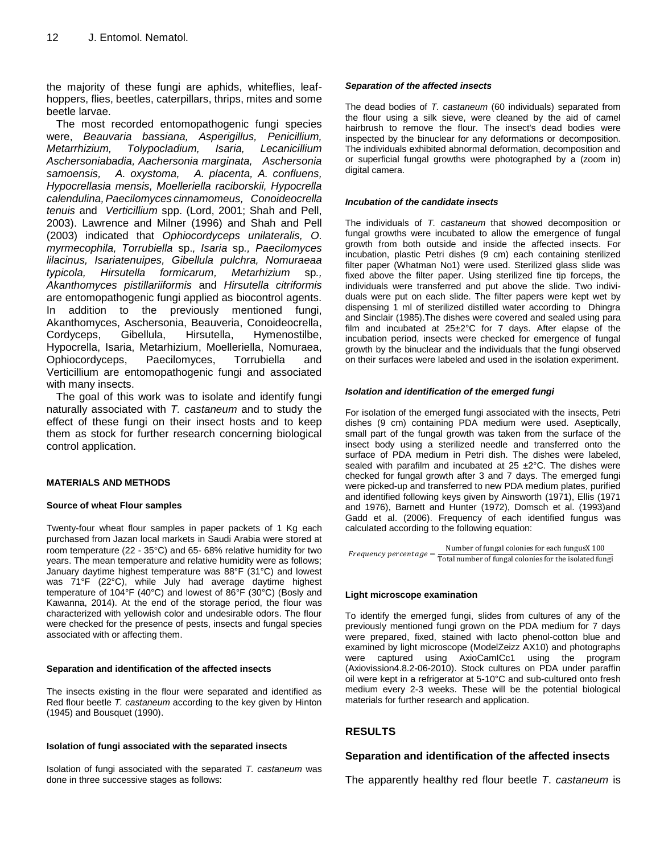the majority of these fungi are aphids, whiteflies, leafhoppers, flies, beetles, caterpillars, thrips, mites and some beetle larvae.

The most recorded entomopathogenic fungi species were, *Beauvaria bassiana, Asperigillus, Penicillium, Metarrhizium, Tolypocladium, Isaria, Lecanicillium Aschersoniabadia, Aachersonia marginata, Aschersonia samoensis, A. oxystoma, A. placenta, A. confluens, Hypocrellasia mensis, Moelleriella raciborskii, Hypocrella calendulina,Paecilomyces cinnamomeus, Conoideocrella tenuis* and *Verticillium* spp. (Lord, 2001; Shah and Pell, 2003). Lawrence and Milner (1996) and Shah and Pell (2003) indicated that *Ophiocordyceps unilateralis, O. myrmecophila, Torrubiella* sp.*, Isaria* sp*., Paecilomyces lilacinus, Isariatenuipes, Gibellula pulchra, Nomuraeaa typicola, Hirsutella formicarum, Metarhizium* sp*., Akanthomyces pistillariiformis* and *Hirsutella citriformis* are entomopathogenic fungi applied as biocontrol agents. In addition to the previously mentioned fungi, Akanthomyces, Aschersonia, Beauveria, Conoideocrella, Cordyceps, Gibellula, Hirsutella, Hymenostilbe, Hypocrella, Isaria, Metarhizium, Moelleriella, Nomuraea, Ophiocordyceps, Paecilomyces, Torrubiella and Verticillium are entomopathogenic fungi and associated with many insects.

The goal of this work was to isolate and identify fungi naturally associated with *T. castaneum* and to study the effect of these fungi on their insect hosts and to keep them as stock for further research concerning biological control application.

#### **MATERIALS AND METHODS**

#### **Source of wheat Flour samples**

Twenty-four wheat flour samples in paper packets of 1 Kg each purchased from Jazan local markets in Saudi Arabia were stored at room temperature (22 - 35 $\degree$ C) and 65- 68% relative humidity for two years. The mean temperature and relative humidity were as follows; January daytime highest temperature was 88°F (31°C) and lowest was 71°F (22°C), while July had average daytime highest temperature of 104°F (40°C) and lowest of 86°F (30°C) (Bosly and Kawanna, 2014). At the end of the storage period, the flour was characterized with yellowish color and undesirable odors. The flour were checked for the presence of pests, insects and fungal species associated with or affecting them.

#### **Separation and identification of the affected insects**

The insects existing in the flour were separated and identified as Red flour beetle *T. castaneum* according to the key given by Hinton (1945) and Bousquet (1990).

#### **Isolation of fungi associated with the separated insects**

Isolation of fungi associated with the separated *T. castaneum* was done in three successive stages as follows:

#### *Separation of the affected insects*

The dead bodies of *T. castaneum* (60 individuals) separated from the flour using a silk sieve, were cleaned by the aid of camel hairbrush to remove the flour. The insect's dead bodies were inspected by the binuclear for any deformations or decomposition. The individuals exhibited abnormal deformation, decomposition and or superficial fungal growths were photographed by a (zoom in) digital camera.

#### *Incubation of the candidate insects*

The individuals of *T. castaneum* that showed decomposition or fungal growths were incubated to allow the emergence of fungal growth from both outside and inside the affected insects. For incubation, plastic Petri dishes (9 cm) each containing sterilized filter paper (Whatman No1) were used. Sterilized glass slide was fixed above the filter paper. Using sterilized fine tip forceps, the individuals were transferred and put above the slide. Two individuals were put on each slide. The filter papers were kept wet by dispensing 1 ml of sterilized distilled water according to Dhingra and Sinclair (1985).The dishes were covered and sealed using para film and incubated at 25±2°C for 7 days. After elapse of the incubation period, insects were checked for emergence of fungal growth by the binuclear and the individuals that the fungi observed on their surfaces were labeled and used in the isolation experiment.

#### *Isolation and identification of the emerged fungi*

For isolation of the emerged fungi associated with the insects, Petri dishes (9 cm) containing PDA medium were used. Aseptically, small part of the fungal growth was taken from the surface of the insect body using a sterilized needle and transferred onto the surface of PDA medium in Petri dish. The dishes were labeled, sealed with parafilm and incubated at 25 ±2°C. The dishes were checked for fungal growth after 3 and 7 days. The emerged fungi were picked-up and transferred to new PDA medium plates, purified and identified following keys given by Ainsworth (1971), Ellis (1971 and 1976), Barnett and Hunter (1972), Domsch et al. (1993)and Gadd et al. (2006). Frequency of each identified fungus was calculated according to the following equation:

```
Frequency percentage = \frac{1}{\text{Total number of fungal colonies for each tangent 133}}Number of fungal colonies for each fungusX 100
```
#### **Light microscope examination**

To identify the emerged fungi, slides from cultures of any of the previously mentioned fungi grown on the PDA medium for 7 days were prepared, fixed, stained with lacto phenol-cotton blue and examined by light microscope (ModelZeizz AX10) and photographs were captured using AxioCamICc1 using the program (Axiovission4.8.2-06-2010). Stock cultures on PDA under paraffin oil were kept in a refrigerator at 5-10°C and sub-cultured onto fresh medium every 2-3 weeks. These will be the potential biological materials for further research and application.

# **RESULTS**

#### **Separation and identification of the affected insects**

The apparently healthy red flour beetle *T*. *castaneum* is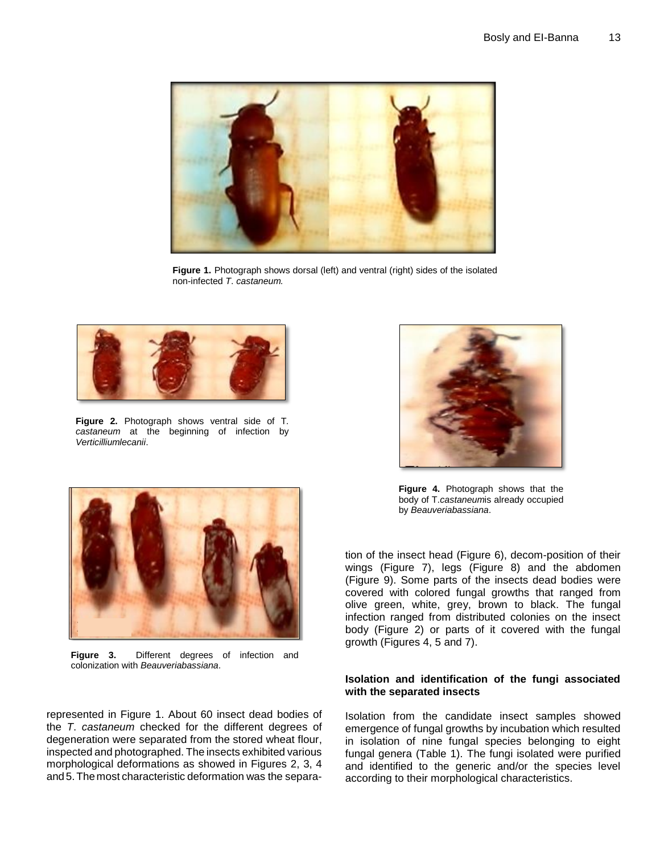

**Figure 1.** Photograph shows dorsal (left) and ventral (right) sides of the isolated non-infected *T*. *castaneum.*



**Figure 2.** Photograph shows ventral side of T*. castaneum* at the beginning of infection by *Verticilliumlecanii*.



**Figure 4.** Photograph shows that the body of T.*castaneum*is already occupied by *[Beauveriabassiana](http://www.entomology.wisc.edu/mbcn/kyf410.html)*.

tion of the insect head (Figure 6), decom-position of their wings (Figure 7), legs (Figure 8) and the abdomen (Figure 9). Some parts of the insects dead bodies were covered with colored fungal growths that ranged from olive green, white, grey, brown to black. The fungal infection ranged from distributed colonies on the insect body (Figure 2) or parts of it covered with the fungal growth (Figures 4, 5 and 7).

# **Isolation and identification of the fungi associated with the separated insects**

Isolation from the candidate insect samples showed emergence of fungal growths by incubation which resulted in isolation of nine fungal species belonging to eight fungal genera (Table 1). The fungi isolated were purified and identified to the generic and/or the species level according to their morphological characteristics.



**Figure 3.** Different degrees of infection and colonization with *Beauveriabassiana*.

represented in Figure 1. About 60 insect dead bodies of the *T*. *castaneum* checked for the different degrees of degeneration were separated from the stored wheat flour, inspected and photographed. The insects exhibited various morphological deformations as showed in Figures 2, 3, 4 and 5.Themost characteristic deformation was the separa-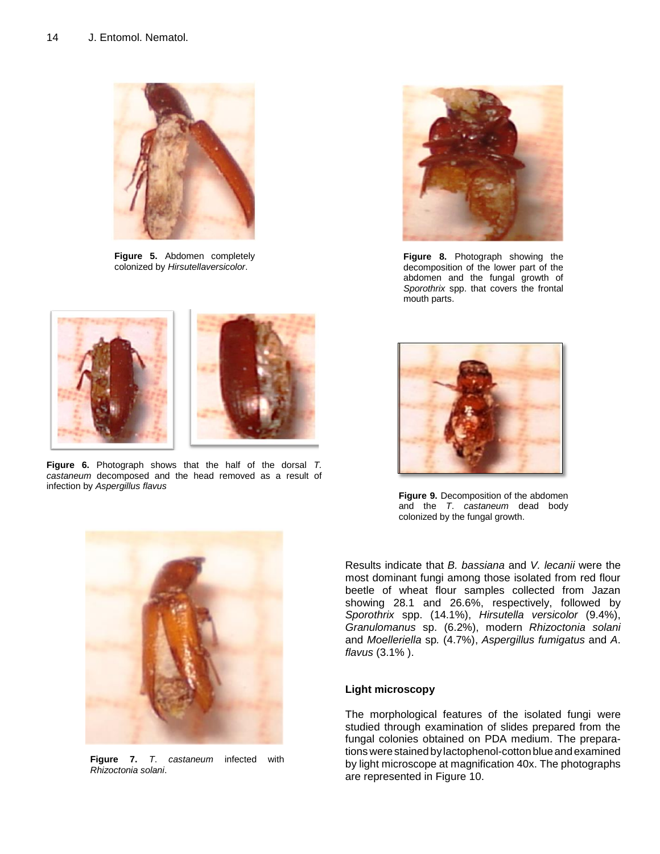

**Figure 5.** Abdomen completely colonized by *Hirsutellaversicolor*.



**Figure 6.** Photograph shows that the half of the dorsal *T. castaneum* decomposed and the head removed as a result of infection by *Aspergillus flavus*



**Figure 8.** Photograph showing the decomposition of the lower part of the abdomen and the fungal growth of *Sporothrix* spp. that covers the frontal mouth parts.



**Figure 9.** Decomposition of the abdomen and the *T*. *castaneum* dead body colonized by the fungal growth.



**Figure 7.** *T*. *castaneum* infected with *Rhizoctonia solani*.

Results indicate that *B. bassiana* and *V. lecanii* were the most dominant fungi among those isolated from red flour beetle of wheat flour samples collected from Jazan showing 28.1 and 26.6%, respectively, followed by *Sporothrix* spp. (14.1%), *Hirsutella versicolor* (9.4%), *Granulomanus* sp. (6.2%), modern *Rhizoctonia solani* and *Moelleriella* sp*.* (4.7%), *Aspergillus fumigatus* and *A*. *flavus* (3.1% ).

### **Light microscopy**

The morphological features of the isolated fungi were studied through examination of slides prepared from the fungal colonies obtained on PDA medium. The preparations were stained by lactophenol-cotton blue and examined by light microscope at magnification 40x. The photographs are represented in Figure 10.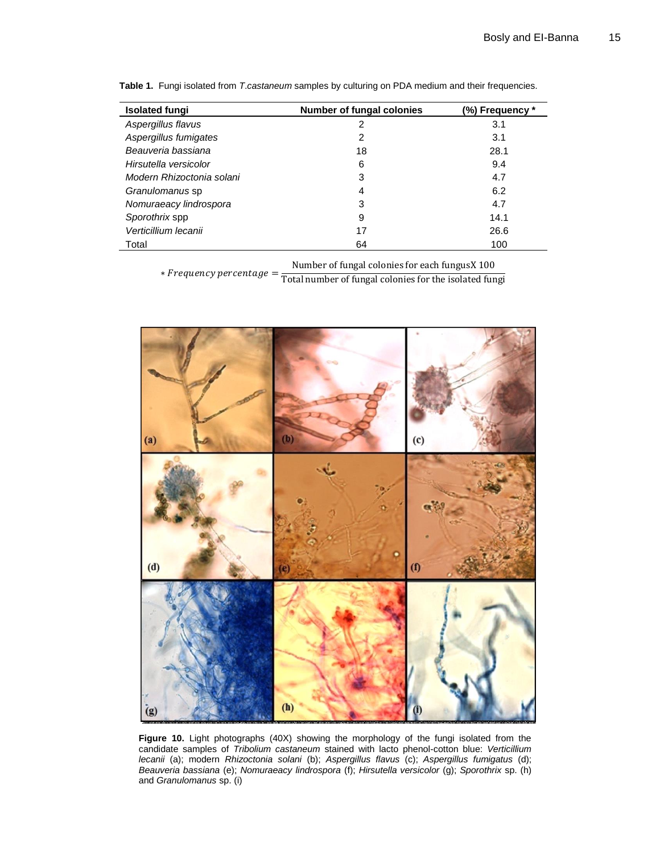| <b>Isolated fungi</b>     | <b>Number of fungal colonies</b> | (%) Frequency * |
|---------------------------|----------------------------------|-----------------|
| Aspergillus flavus        | 2                                | 3.1             |
| Aspergillus fumigates     | 2                                | 3.1             |
| Beauveria bassiana        | 18                               | 28.1            |
| Hirsutella versicolor     | 6                                | 9.4             |
| Modern Rhizoctonia solani | 3                                | 4.7             |
| Granulomanus sp           | 4                                | 6.2             |
| Nomuraeacy lindrospora    | 3                                | 4.7             |
| Sporothrix spp            | 9                                | 14.1            |
| Verticillium lecanii      | 17                               | 26.6            |
| Total                     | 64                               | 100             |

**Table 1.** Fungi isolated from *T*.*castaneum* samples by culturing on PDA medium and their frequencies.

Number of fungal colonies for each fungusX 100

 $*$  *Frequency percentage*  $=$   $\frac{1}{\text{Total number of fungal colonies for the isolated fungi}}$ 



**Figure 10.** Light photographs (40X) showing the morphology of the fungi isolated from the candidate samples of *Tribolium castaneum* stained with lacto phenol-cotton blue: *Verticillium lecanii* (a); modern *Rhizoctonia solani* (b); *Aspergillus flavus* (c); *Aspergillus fumigatus* (d); *Beauveria bassiana* (e); *Nomuraeacy lindrospora* (f); *Hirsutella versicolor* (g); *Sporothrix* sp. (h) and *Granulomanus* sp. (i)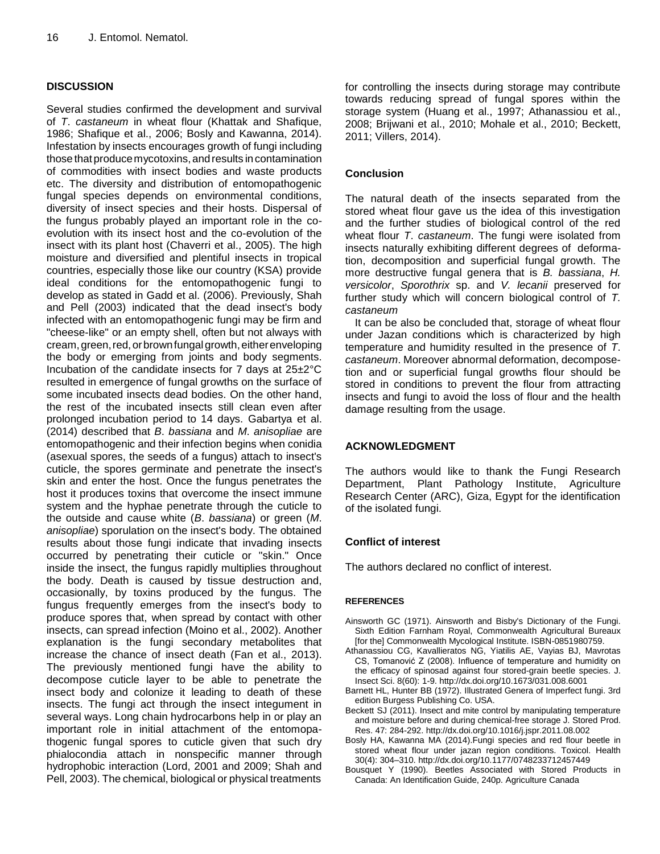# **DISCUSSION**

Several studies confirmed the development and survival of *T*. *castaneum* in wheat flour (Khattak and Shafique, 1986; Shafique et al., 2006; Bosly and Kawanna, 2014). Infestation by insects encourages growth of fungi including those that produce mycotoxins, and results in contamination of commodities with insect bodies and waste products etc. The diversity and distribution of entomopathogenic fungal species depends on environmental conditions, diversity of insect species and their hosts. Dispersal of the fungus probably played an important role in the coevolution with its insect host and the co-evolution of the insect with its plant host (Chaverri et al., 2005). The high moisture and diversified and plentiful insects in tropical countries, especially those like our country (KSA) provide ideal conditions for the entomopathogenic fungi to develop as stated in Gadd et al. (2006). Previously, Shah and Pell (2003) indicated that the dead insect's body infected with an entomopathogenic fungi may be firm and "cheese-like" or an empty shell, often but not always with cream,green,red,orbrownfungalgrowth,eitherenveloping the body or emerging from joints and body segments. Incubation of the candidate insects for 7 days at 25±2°C resulted in emergence of fungal growths on the surface of some incubated insects dead bodies. On the other hand, the rest of the incubated insects still clean even after prolonged incubation period to 14 days. Gabartya et al. (2014) described that *B*. *bassiana* and *M*. *anisopliae* are entomopathogenic and their infection begins when conidia (asexual spores, the seeds of a fungus) attach to insect's cuticle, the spores germinate and penetrate the insect's skin and enter the host. Once the fungus penetrates the host it produces toxins that overcome the insect immune system and the hyphae penetrate through the cuticle to the outside and cause white (*B*. *bassiana*) or green (*M*. *anisopliae*) sporulation on the insect's body. The obtained results about those fungi indicate that invading insects occurred by penetrating their cuticle or "skin." Once inside the insect, the fungus rapidly multiplies throughout the body. Death is caused by tissue destruction and, occasionally, by toxins produced by the fungus. The fungus frequently emerges from the insect's body to produce spores that, when spread by contact with other insects, can spread infection (Moino et al., 2002). Another explanation is the fungi secondary metabolites that increase the chance of insect death (Fan et al., 2013). The previously mentioned fungi have the ability to decompose cuticle layer to be able to penetrate the insect body and colonize it leading to death of these insects. The fungi act through the insect integument in several ways. Long chain hydrocarbons help in or play an important role in initial attachment of the entomopathogenic fungal spores to cuticle given that such dry phialocondia attach in nonspecific manner through hydrophobic interaction (Lord, 2001 and 2009; Shah and Pell, 2003). The chemical, biological or physical treatments

for controlling the insects during storage may contribute towards reducing spread of fungal spores within the storage system (Huang et al., 1997; Athanassiou et al., 2008; Brijwani et al., 2010; Mohale et al., 2010; Beckett, 2011; Villers, 2014).

# **Conclusion**

The natural death of the insects separated from the stored wheat flour gave us the idea of this investigation and the further studies of biological control of the red wheat flour *T*. *castaneum*. The fungi were isolated from insects naturally exhibiting different degrees of deformation, decomposition and superficial fungal growth. The more destructive fungal genera that is *B. bassiana*, *H. versicolor*, *Sporothrix* sp. and *V. lecanii* preserved for further study which will concern biological control of *T. castaneum*

It can be also be concluded that, storage of wheat flour under Jazan conditions which is characterized by high temperature and humidity resulted in the presence of *T*. *castaneum*. Moreover abnormal deformation, decomposetion and or superficial fungal growths flour should be stored in conditions to prevent the flour from attracting insects and fungi to avoid the loss of flour and the health damage resulting from the usage.

# **ACKNOWLEDGMENT**

The authors would like to thank the Fungi Research Department, Plant Pathology Institute, Agriculture Research Center (ARC), Giza, Egypt for the identification of the isolated fungi.

# **Conflict of interest**

The authors declared no conflict of interest.

# **REFERENCES**

- Ainsworth GC (1971). Ainsworth and Bisby's Dictionary of the Fungi. Sixth Edition Farnham Royal, Commonwealth Agricultural Bureaux [for the] Commonwealth Mycological Institute. ISBN-0851980759.
- Athanassiou CG, Kavallieratos NG, Yiatilis AE, Vayias BJ, Mavrotas CS, Tomanović Z (2008). Influence of temperature and humidity on the efficacy of spinosad against four stored-grain beetle species. J. Insect Sci. 8(60): 1-9. http://dx.doi.org/10.1673/031.008.6001
- Barnett HL, Hunter BB (1972). Illustrated Genera of Imperfect fungi. 3rd edition Burgess Publishing Co. USA.
- Beckett SJ (2011). Insect and mite control by manipulating temperature and moisture before and during chemical-free storage J. Stored Prod. Res. 47: 284-292. http://dx.doi.org/10.1016/j.jspr.2011.08.002
- Bosly HA, Kawanna MA (2014).Fungi species and red flour beetle in stored wheat flour under jazan region conditions. Toxicol. Health 30(4): 304–310. http://dx.doi.org/10.1177/0748233712457449
- Bousquet Y (1990). Beetles Associated with Stored Products in Canada: An Identification Guide, 240p. Agriculture Canada